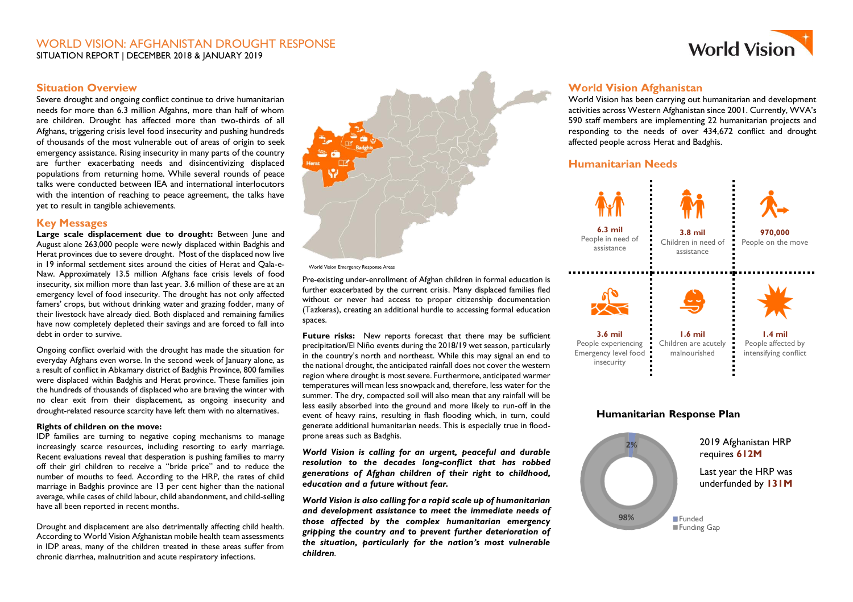## WORLD VISION: AFGHANISTAN DROUGHT RESPONSE SITUATION REPORT | DECEMBER 2018 & JANUARY 2019

## **Situation Overview**

Severe drought and ongoing conflict continue to drive humanitarian needs for more than 6.3 million Afgahns, more than half of whom are children. Drought has affected more than two-thirds of all Afghans, triggering crisis level food insecurity and pushing hundreds of thousands of the most vulnerable out of areas of origin to seek emergency assistance. Rising insecurity in many parts of the country are further exacerbating needs and disincentivizing displaced populations from returning home. While several rounds of peace talks were conducted between IEA and international interlocutors with the intention of reaching to peace agreement, the talks have yet to result in tangible achievements.

### **Key Messages**

**Large scale displacement due to drought:** Between June and August alone 263,000 people were newly displaced within Badghis and Herat provinces due to severe drought. Most of the displaced now live in 19 informal settlement sites around the cities of Herat and Qala-e-Naw. Approximately 13.5 million Afghans face crisis levels of food insecurity, six million more than last year. 3.6 million of these are at an emergency level of food insecurity. The drought has not only affected famers' crops, but without drinking water and grazing fodder, many of their livestock have already died. Both displaced and remaining families have now completely depleted their savings and are forced to fall into debt in order to survive.

Ongoing conflict overlaid with the drought has made the situation for everyday Afghans even worse. In the second week of January alone, as a result of conflict in Abkamary district of Badghis Province, 800 families were displaced within Badghis and Herat province. These families join the hundreds of thousands of displaced who are braving the winter with no clear exit from their displacement, as ongoing insecurity and drought-related resource scarcity have left them with no alternatives.

#### **Rights of children on the move:**

IDP families are turning to negative coping mechanisms to manage increasingly scarce resources, including resorting to early marriage. Recent evaluations reveal that desperation is pushing families to marry off their girl children to receive a "bride price" and to reduce the number of mouths to feed. According to the HRP, the rates of child marriage in Badghis province are 13 per cent higher than the national average, while cases of child labour, child abandonment, and child-selling have all been reported in recent months.

Drought and displacement are also detrimentally affecting child health. According to World Vision Afghanistan mobile health team assessments in IDP areas, many of the children treated in these areas suffer from chronic diarrhea, malnutrition and acute respiratory infections.



spaces. **Future risks:** New reports forecast that there may be sufficient precipitation/El Niño events during the 2018/19 wet season, particularly in the country's north and northeast. While this may signal an end to the national drought, the anticipated rainfall does not cover the western

region where drought is most severe. Furthermore, anticipated warmer temperatures will mean less snowpack and, therefore, less water for the summer. The dry, compacted soil will also mean that any rainfall will be less easily absorbed into the ground and more likely to run-off in the event of heavy rains, resulting in flash flooding which, in turn, could generate additional humanitarian needs. This is especially true in floodprone areas such as Badghis.

*World Vision is calling for an urgent, peaceful and durable resolution to the decades long-conflict that has robbed generations of Afghan children of their right to childhood, education and a future without fear.* 

*World Vision is also calling for a rapid scale up of humanitarian and development assistance to meet the immediate needs of those affected by the complex humanitarian emergency gripping the country and to prevent further deterioration of the situation, particularly for the nation's most vulnerable children.* 

## **World Vision Afghanistan**

World Vision has been carrying out humanitarian and development activities across Western Afghanistan since 2001. Currently, WVA's 590 staff members are implementing 22 humanitarian projects and responding to the needs of over 434,672 conflict and drought affected people across Herat and Badghis.

## **Humanitarian Needs**